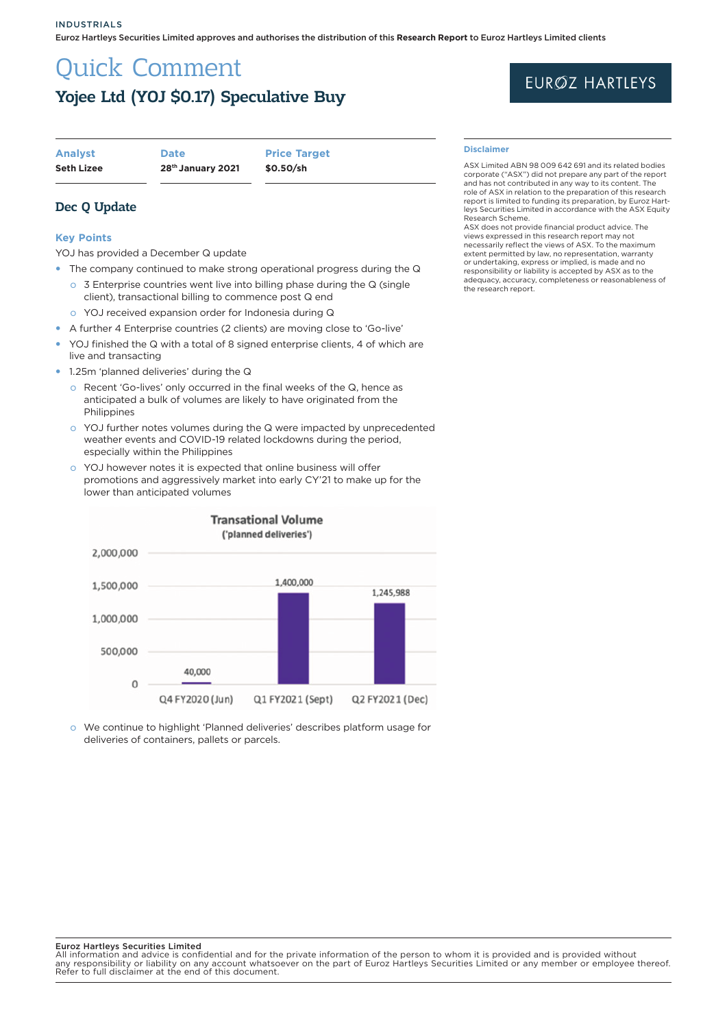# Quick Comment Yojee Ltd (YOJ \$0.17) Speculative Buy

| <b>Seth Lizee</b> | 28th January 2021 | \$0.50/sh           |
|-------------------|-------------------|---------------------|
| <b>Analyst</b>    | <b>Date</b>       | <b>Price Target</b> |

Dec Q Update

### **Key Points**

YOJ has provided a December Q update

- The company continued to make strong operational progress during the Q
- o 3 Enterprise countries went live into billing phase during the Q (single client), transactional billing to commence post Q end
	- o YOJ received expansion order for Indonesia during Q
- A further 4 Enterprise countries (2 clients) are moving close to 'Go-live'
- YOJ finished the Q with a total of 8 signed enterprise clients, 4 of which are live and transacting
- 1.25m 'planned deliveries' during the Q
	- o Recent 'Go-lives' only occurred in the final weeks of the Q, hence as anticipated a bulk of volumes are likely to have originated from the **Philippines**
	- o YOJ further notes volumes during the Q were impacted by unprecedented weather events and COVID-19 related lockdowns during the period, especially within the Philippines
	- o YOJ however notes it is expected that online business will offer promotions and aggressively market into early CY'21 to make up for the lower than anticipated volumes



o We continue to highlight 'Planned deliveries' describes platform usage for deliveries of containers, pallets or parcels.

#### Euroz Hartleys Securities Limited

All information and advice is confidential and for the private information of the person to whom it is provided and is provided without<br>any responsibility or liability on any account whatsoever on the part of Euroz Hartley

# EURØZ HARTLEYS

#### **Disclaimer**

ASX Limited ABN 98 009 642 691 and its related bodies corporate ("ASX") did not prepare any part of the report and has not contributed in any way to its content. The role of ASX in relation to the preparation of this research report is limited to funding its preparation, by Euroz Hartleys Securities Limited in accordance with the ASX Equity Research Scheme.

ASX does not provide financial product advice. The views expressed in this research report may not necessarily reflect the views of ASX. To the maximum extent permitted by law, no representation, warranty or undertaking, express or implied, is made and no responsibility or liability is accepted by ASX as to the adequacy, accuracy, completeness or reasonableness of the research report.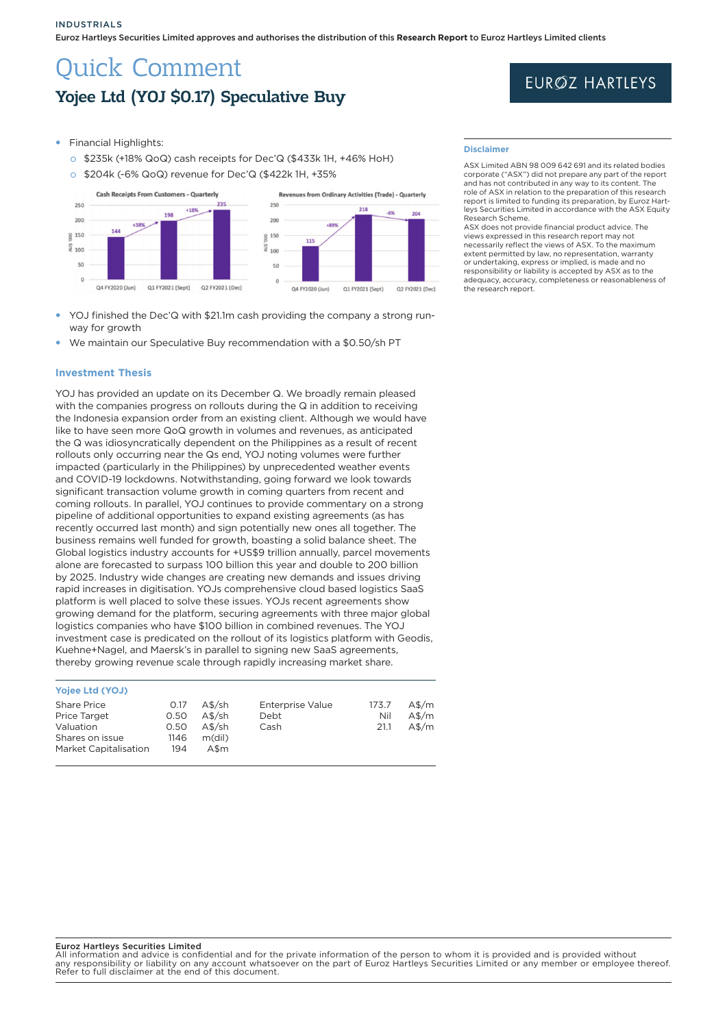Euroz Hartleys Securities Limited approves and authorises the distribution of this **Research Report** to Euroz Hartleys Limited clients

# Quick Comment Yojee Ltd (YOJ \$0.17) Speculative Buy

# **EURØZ HARTLEYS**

- **Financial Highlights:** 
	- o \$235k (+18% QoQ) cash receipts for Dec'Q (\$433k 1H, +46% HoH)
	- o \$204k (-6% QoQ) revenue for Dec'Q (\$422k 1H, +35%



- YOJ finished the Dec'Q with \$21.1m cash providing the company a strong runway for growth
- We maintain our Speculative Buy recommendation with a \$0.50/sh PT

#### **Investment Thesis**

YOJ has provided an update on its December Q. We broadly remain pleased with the companies progress on rollouts during the Q in addition to receiving the Indonesia expansion order from an existing client. Although we would have like to have seen more QoQ growth in volumes and revenues, as anticipated the Q was idiosyncratically dependent on the Philippines as a result of recent rollouts only occurring near the Qs end, YOJ noting volumes were further impacted (particularly in the Philippines) by unprecedented weather events and COVID-19 lockdowns. Notwithstanding, going forward we look towards significant transaction volume growth in coming quarters from recent and coming rollouts. In parallel, YOJ continues to provide commentary on a strong pipeline of additional opportunities to expand existing agreements (as has recently occurred last month) and sign potentially new ones all together. The business remains well funded for growth, boasting a solid balance sheet. The Global logistics industry accounts for +US\$9 trillion annually, parcel movements alone are forecasted to surpass 100 billion this year and double to 200 billion by 2025. Industry wide changes are creating new demands and issues driving rapid increases in digitisation. YOJs comprehensive cloud based logistics SaaS platform is well placed to solve these issues. YOJs recent agreements show growing demand for the platform, securing agreements with three major global logistics companies who have \$100 billion in combined revenues. The YOJ investment case is predicated on the rollout of its logistics platform with Geodis, Kuehne+Nagel, and Maersk's in parallel to signing new SaaS agreements, thereby growing revenue scale through rapidly increasing market share.

## **Yojee Ltd (YOJ)**

| <b>Share Price</b><br><b>Price Target</b><br>Valuation<br>Shares on issue | 0.17<br>0.50<br>0.50<br>1146 | $A$$ /sh<br>$A$$ /sh<br>$A$$ /sh<br>m(dil) | <b>Enterprise Value</b><br>Debt<br>Cash | 173.7<br>Nil<br>21.1 | $A\frac{m}{2}$<br>$A\frac{m}{2}$<br>$A\frac{m}{2}$ |
|---------------------------------------------------------------------------|------------------------------|--------------------------------------------|-----------------------------------------|----------------------|----------------------------------------------------|
| <b>Market Capitalisation</b>                                              | 194                          | A\$m                                       |                                         |                      |                                                    |

#### **Disclaimer**

ASX Limited ABN 98 009 642 691 and its related bodies corporate ("ASX") did not prepare any part of the report and has not contributed in any way to its content. The role of ASX in relation to the preparation of this research report is limited to funding its preparation, by Euroz Hartleys Securities Limited in accordance with the ASX Equity search Scheme

ASX does not provide financial product advice. The views expressed in this research report may not necessarily reflect the views of ASX. To the maximum extent permitted by law, no representation, warranty or undertaking, express or implied, is made and no responsibility or liability is accepted by ASX as to the adequacy, accuracy, completeness or reasonableness of the research report.

#### Euroz Hartleys Securities Limited

All information and advice is confidential and for the private information of the person to whom it is provided and is provided without any responsibility or liability on any account whatsoever on the part of Euroz Hartleys Securities Limited or any member or employee thereof. any responsibility of hability on any account whatse